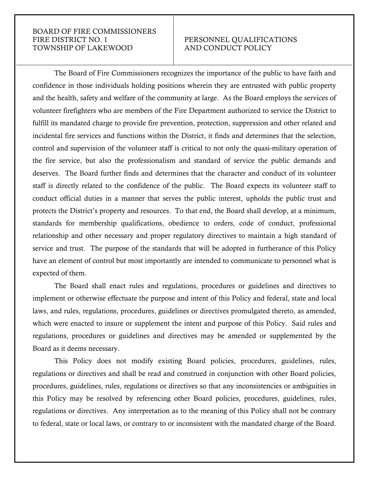## BOARD OF FIRE COMMISSIONERS FIRE DISTRICT NO. 1 PERSONNEL QUALIFICATIONS TOWNSHIP OF LAKEWOOD AND CONDUCT POLICY

The Board of Fire Commissioners recognizes the importance of the public to have faith and confidence in those individuals holding positions wherein they are entrusted with public property and the health, safety and welfare of the community at large. As the Board employs the services of volunteer firefighters who are members of the Fire Department authorized to service the District to fulfill its mandated charge to provide fire prevention, protection, suppression and other related and incidental fire services and functions within the District, it finds and determines that the selection, control and supervision of the volunteer staff is critical to not only the quasi-military operation of the fire service, but also the professionalism and standard of service the public demands and deserves. The Board further finds and determines that the character and conduct of its volunteer staff is directly related to the confidence of the public. The Board expects its volunteer staff to conduct official duties in a manner that serves the public interest, upholds the public trust and protects the District's property and resources. To that end, the Board shall develop, at a minimum, standards for membership qualifications, obedience to orders, code of conduct, professional relationship and other necessary and proper regulatory directives to maintain a high standard of service and trust. The purpose of the standards that will be adopted in furtherance of this Policy have an element of control but most importantly are intended to communicate to personnel what is expected of them.

The Board shall enact rules and regulations, procedures or guidelines and directives to implement or otherwise effectuate the purpose and intent of this Policy and federal, state and local laws, and rules, regulations, procedures, guidelines or directives promulgated thereto, as amended, which were enacted to insure or supplement the intent and purpose of this Policy. Said rules and regulations, procedures or guidelines and directives may be amended or supplemented by the Board as it deems necessary.

This Policy does not modify existing Board policies, procedures, guidelines, rules, regulations or directives and shall be read and construed in conjunction with other Board policies, procedures, guidelines, rules, regulations or directives so that any inconsistencies or ambiguities in this Policy may be resolved by referencing other Board policies, procedures, guidelines, rules, regulations or directives. Any interpretation as to the meaning of this Policy shall not be contrary to federal, state or local laws, or contrary to or inconsistent with the mandated charge of the Board.